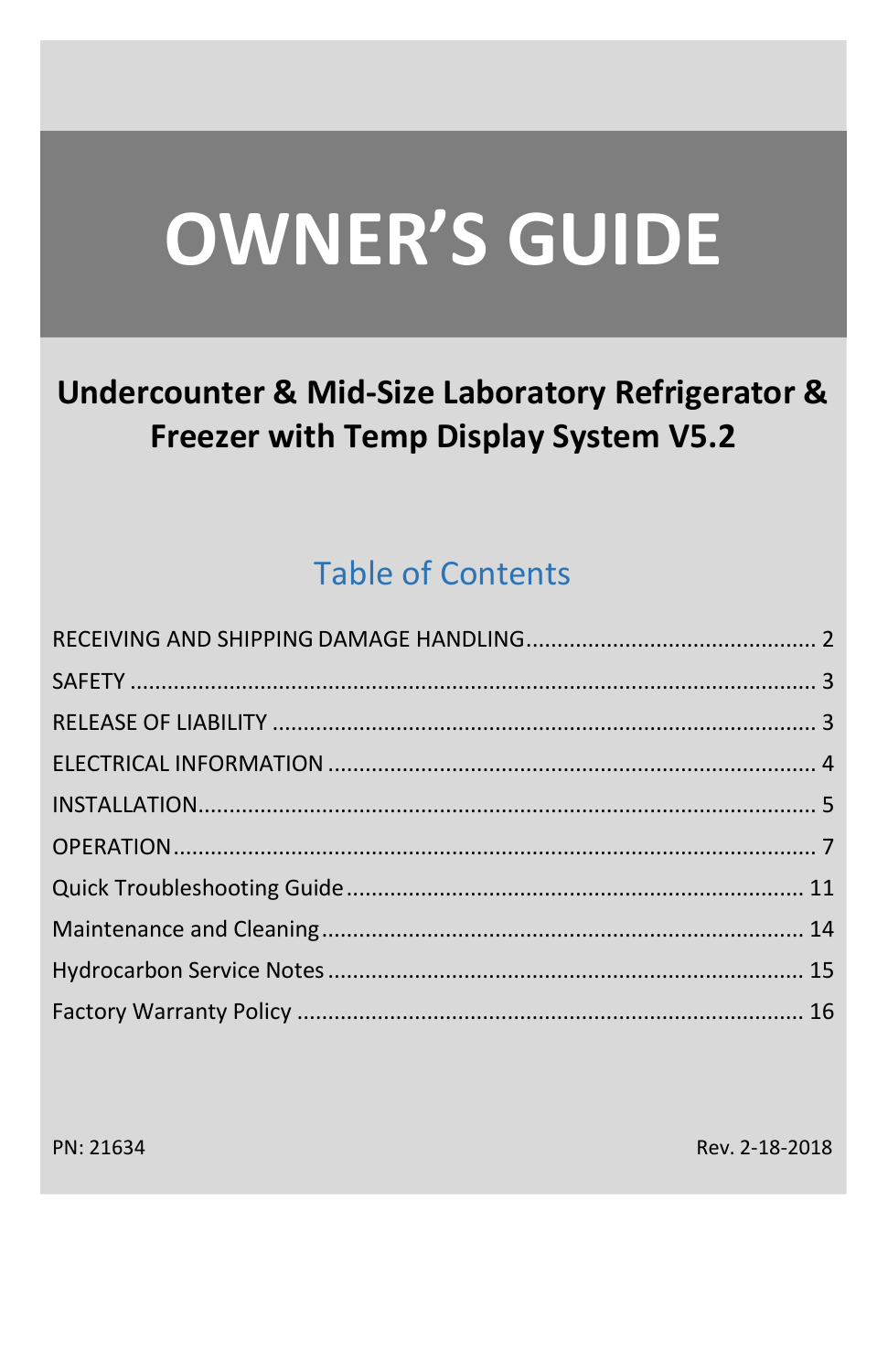# **OWNER'S GUIDE**

# **Undercounter & Mid-Size Laboratory Refrigerator &** Freezer with Temp Display System V5.2

# **Table of Contents**

PN: 21634

Rev. 2-18-2018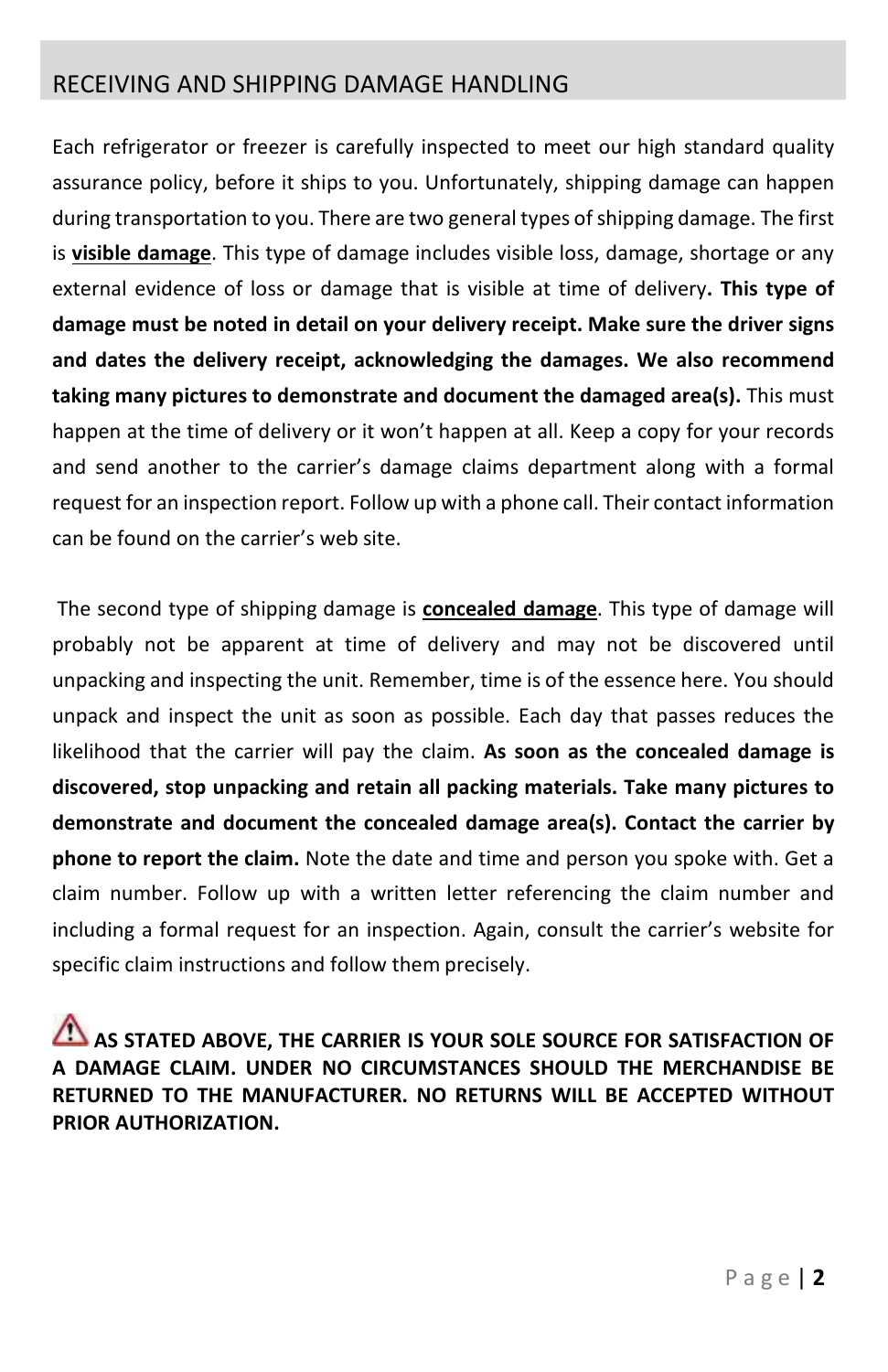## <span id="page-1-0"></span>RECEIVING AND SHIPPING DAMAGE HANDLING

Each refrigerator or freezer is carefully inspected to meet our high standard quality assurance policy, before it ships to you. Unfortunately, shipping damage can happen during transportation to you. There are two general types of shipping damage. The first is **visible damage**. This type of damage includes visible loss, damage, shortage or any external evidence of loss or damage that is visible at time of delivery**. This type of damage must be noted in detail on your delivery receipt. Make sure the driver signs and dates the delivery receipt, acknowledging the damages. We also recommend taking many pictures to demonstrate and document the damaged area(s).** This must happen at the time of delivery or it won't happen at all. Keep a copy for your records and send another to the carrier's damage claims department along with a formal request for an inspection report. Follow up with a phone call. Their contact information can be found on the carrier's web site.

The second type of shipping damage is **concealed damage**. This type of damage will probably not be apparent at time of delivery and may not be discovered until unpacking and inspecting the unit. Remember, time is of the essence here. You should unpack and inspect the unit as soon as possible. Each day that passes reduces the likelihood that the carrier will pay the claim. **As soon as the concealed damage is discovered, stop unpacking and retain all packing materials. Take many pictures to demonstrate and document the concealed damage area(s). Contact the carrier by phone to report the claim.** Note the date and time and person you spoke with. Get a claim number. Follow up with a written letter referencing the claim number and including a formal request for an inspection. Again, consult the carrier's website for specific claim instructions and follow them precisely.

**AS STATED ABOVE, THE CARRIER IS YOUR SOLE SOURCE FOR SATISFACTION OF A DAMAGE CLAIM. UNDER NO CIRCUMSTANCES SHOULD THE MERCHANDISE BE RETURNED TO THE MANUFACTURER. NO RETURNS WILL BE ACCEPTED WITHOUT PRIOR AUTHORIZATION.**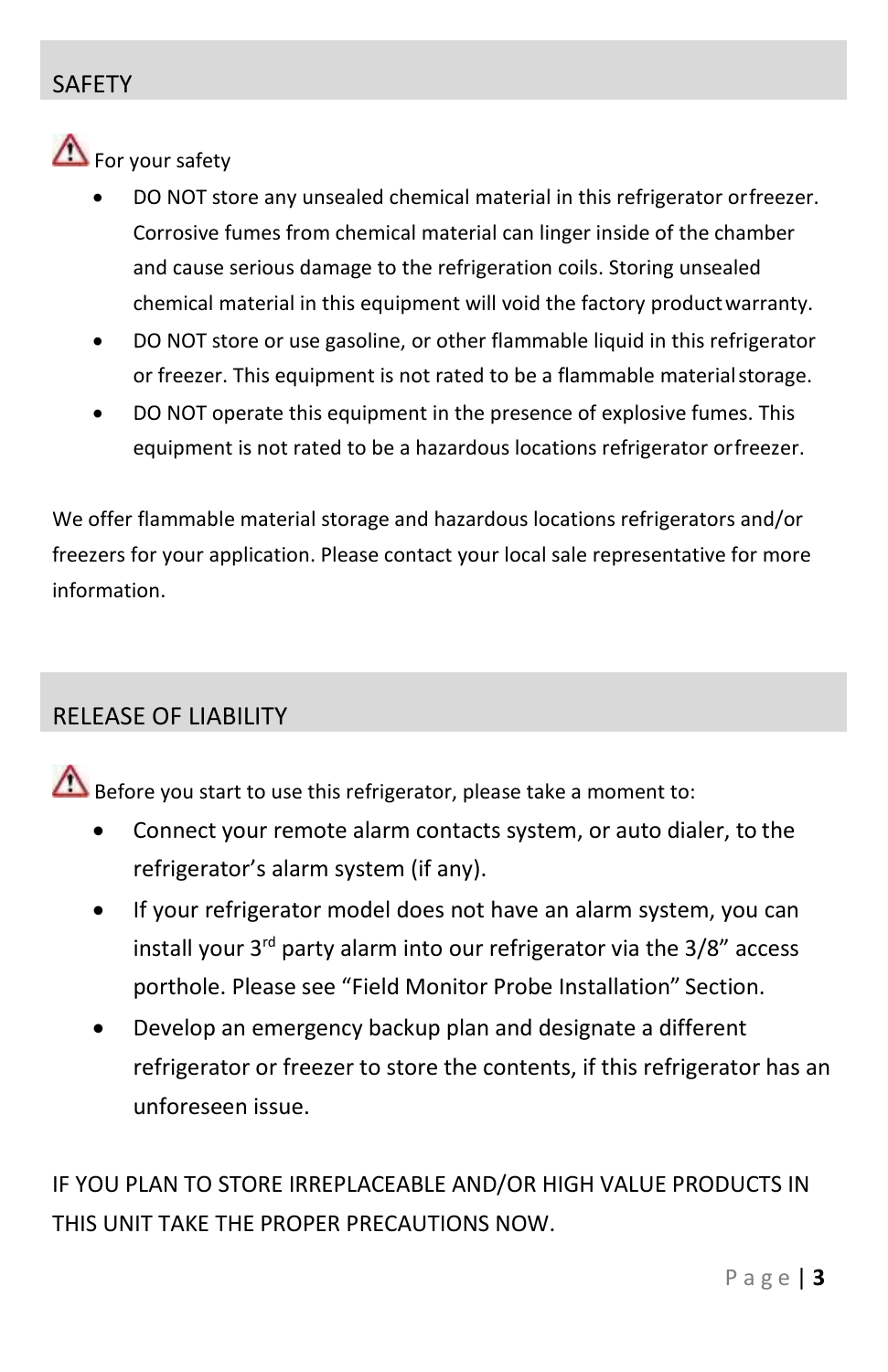# <span id="page-2-0"></span>SAFETY

# For your safety

- DO NOT store any unsealed chemical material in this refrigerator orfreezer. Corrosive fumes from chemical material can linger inside of the chamber and cause serious damage to the refrigeration coils. Storing unsealed chemical material in this equipment will void the factory productwarranty.
- DO NOT store or use gasoline, or other flammable liquid in this refrigerator or freezer. This equipment is not rated to be a flammable materialstorage.
- DO NOT operate this equipment in the presence of explosive fumes. This equipment is not rated to be a hazardous locations refrigerator orfreezer.

We offer flammable material storage and hazardous locations refrigerators and/or freezers for your application. Please contact your local sale representative for more information.

## <span id="page-2-1"></span>RELEASE OF LIABILITY

Before you start to use this refrigerator, please take a moment to:

- Connect your remote alarm contacts system, or auto dialer, to the refrigerator's alarm system (if any).
- If your refrigerator model does not have an alarm system, you can install your  $3^{rd}$  party alarm into our refrigerator via the  $3/8$ " access porthole. Please see "Field Monitor Probe Installation" Section.
- Develop an emergency backup plan and designate a different refrigerator or freezer to store the contents, if this refrigerator has an unforeseen issue.

IF YOU PLAN TO STORE IRREPLACEABLE AND/OR HIGH VALUE PRODUCTS IN THIS UNIT TAKE THE PROPER PRECAUTIONS NOW.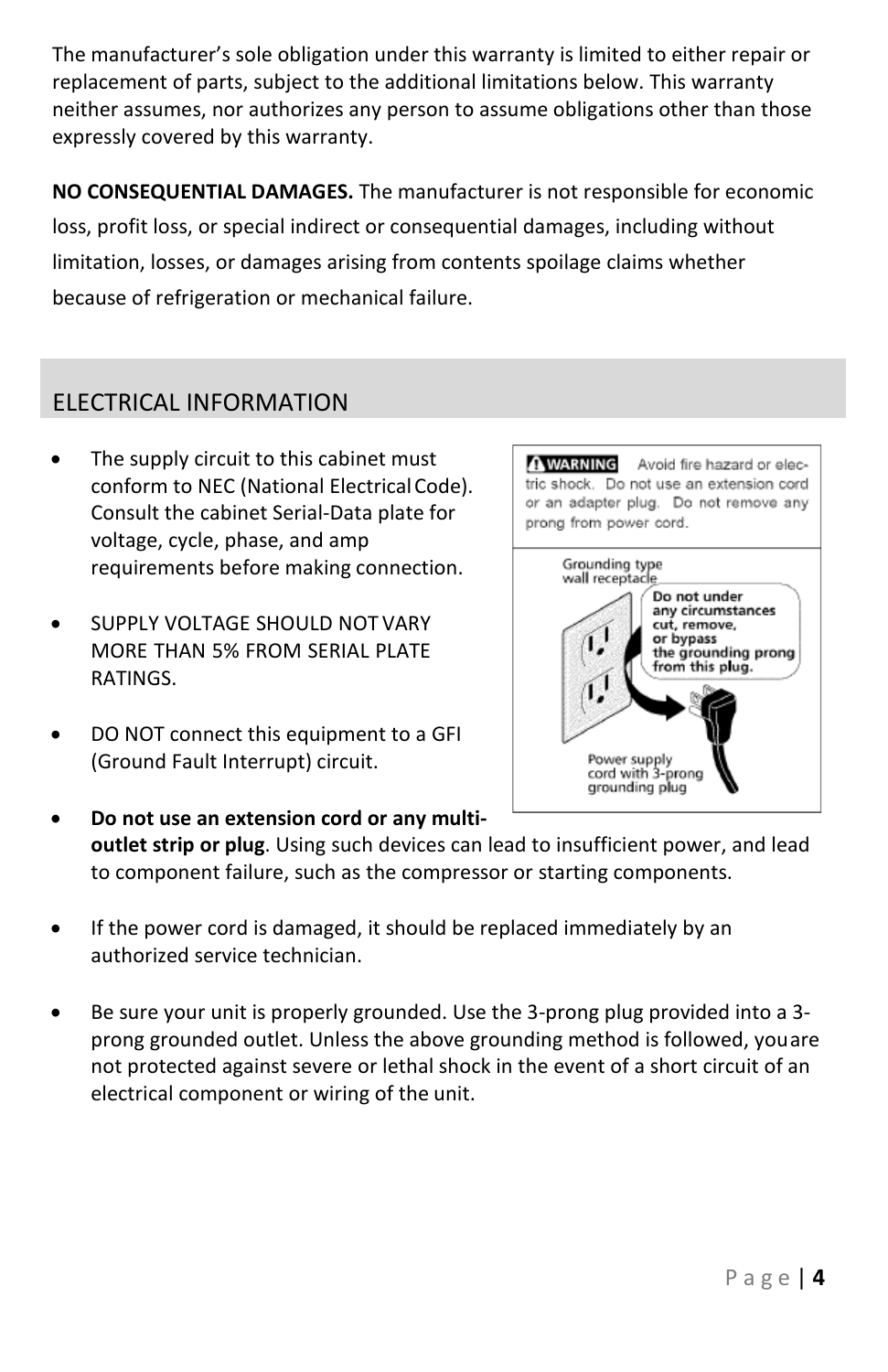The manufacturer's sole obligation under this warranty is limited to either repair or replacement of parts, subject to the additional limitations below. This warranty neither assumes, nor authorizes any person to assume obligations other than those expressly covered by this warranty.

**NO CONSEQUENTIAL DAMAGES.** The manufacturer is not responsible for economic loss, profit loss, or special indirect or consequential damages, including without limitation, losses, or damages arising from contents spoilage claims whether because of refrigeration or mechanical failure.

# <span id="page-3-0"></span>ELECTRICAL INFORMATION

- The supply circuit to this cabinet must conform to NEC (National Electrical Code). Consult the cabinet Serial-Data plate for voltage, cycle, phase, and amp requirements before making connection.
- **SUPPLY VOLTAGE SHOULD NOT VARY** MORE THAN 5% FROM SERIAL PLATE RATINGS.
- DO NOT connect this equipment to a GFI (Ground Fault Interrupt) circuit.



- **Do not use an extension cord or any multioutlet strip or plug**. Using such devices can lead to insufficient power, and lead to component failure, such as the compressor or starting components.
- If the power cord is damaged, it should be replaced immediately by an authorized service technician.
- Be sure your unit is properly grounded. Use the 3-prong plug provided into a 3 prong grounded outlet. Unless the above grounding method is followed, youare not protected against severe or lethal shock in the event of a short circuit of an electrical component or wiring of the unit.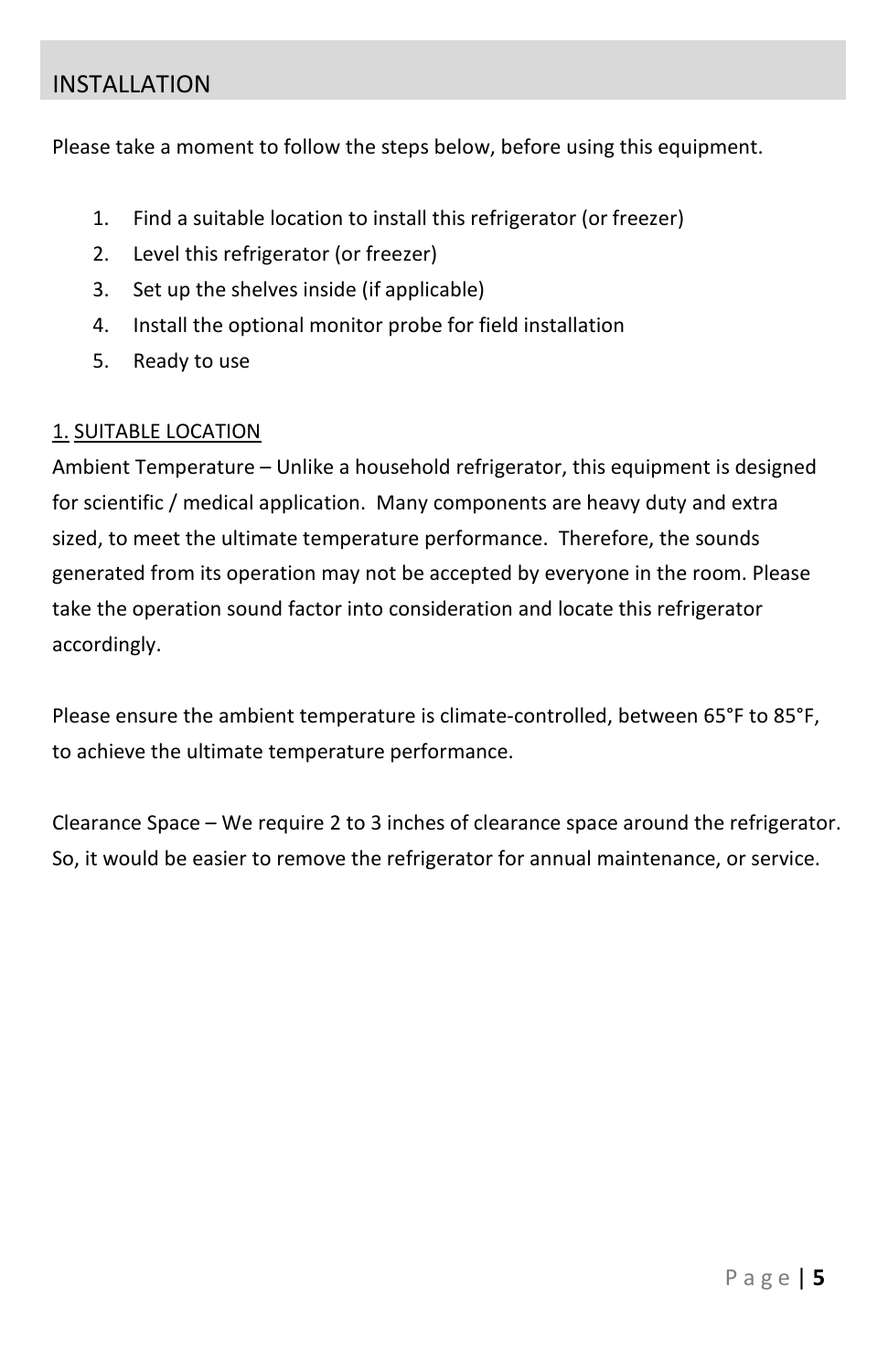# <span id="page-4-0"></span>INSTALLATION

Please take a moment to follow the steps below, before using this equipment.

- 1. Find a suitable location to install this refrigerator (or freezer)
- 2. Level this refrigerator (or freezer)
- 3. Set up the shelves inside (if applicable)
- 4. Install the optional monitor probe for field installation
- 5. Ready to use

#### 1. SUITABLE LOCATION

Ambient Temperature – Unlike a household refrigerator, this equipment is designed for scientific / medical application. Many components are heavy duty and extra sized, to meet the ultimate temperature performance. Therefore, the sounds generated from its operation may not be accepted by everyone in the room. Please take the operation sound factor into consideration and locate this refrigerator accordingly.

Please ensure the ambient temperature is climate-controlled, between 65°F to 85°F, to achieve the ultimate temperature performance.

Clearance Space – We require 2 to 3 inches of clearance space around the refrigerator. So, it would be easier to remove the refrigerator for annual maintenance, or service.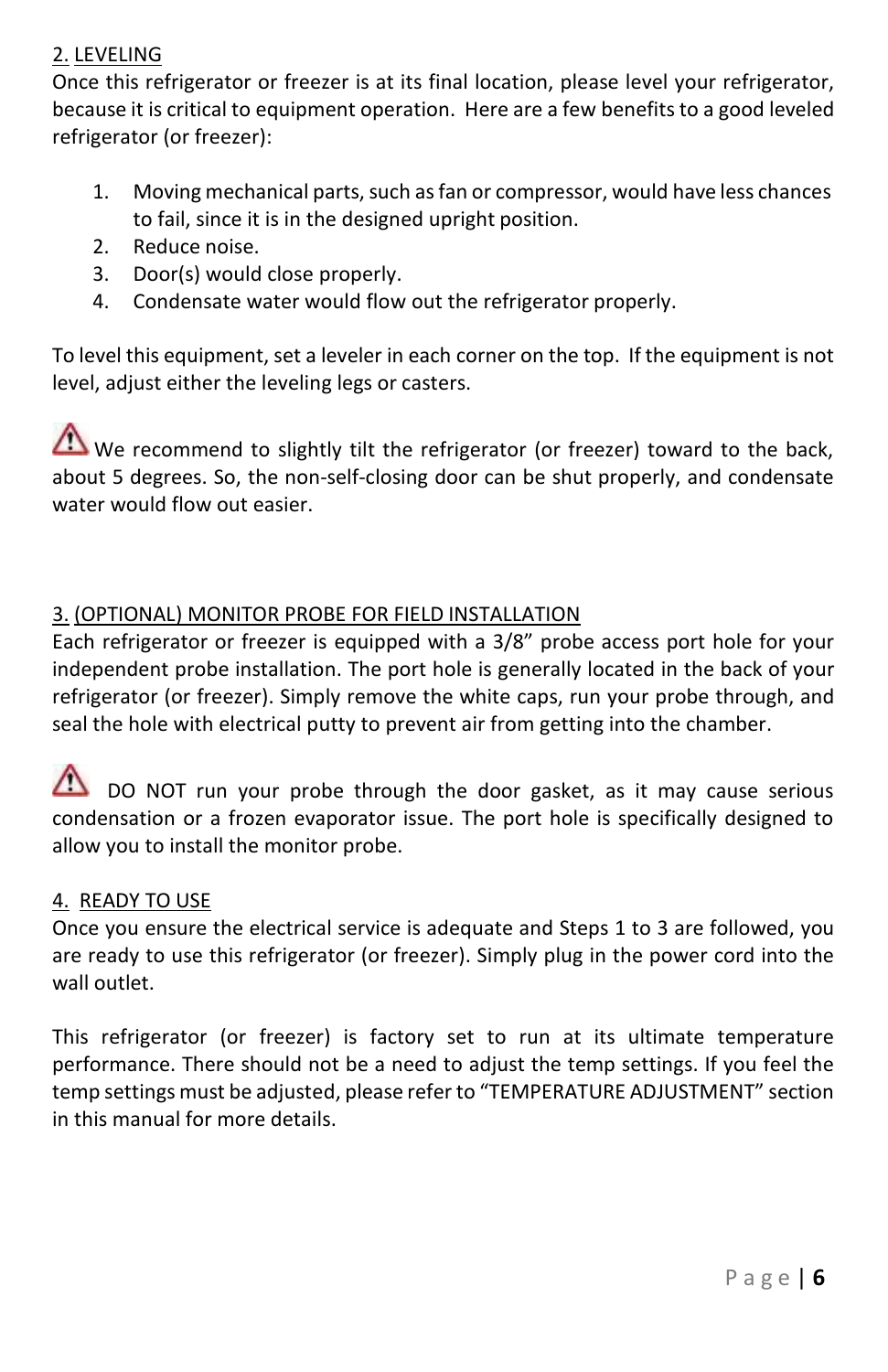#### 2. LEVELING

Once this refrigerator or freezer is at its final location, please level your refrigerator, because it is critical to equipment operation. Here are a few benefits to a good leveled refrigerator (or freezer):

- 1. Moving mechanical parts, such as fan or compressor, would have less chances to fail, since it is in the designed upright position.
- 2. Reduce noise.
- 3. Door(s) would close properly.
- 4. Condensate water would flow out the refrigerator properly.

To level this equipment, set a leveler in each corner on the top. If the equipment is not level, adjust either the leveling legs or casters.

We recommend to slightly tilt the refrigerator (or freezer) toward to the back, about 5 degrees. So, the non-self-closing door can be shut properly, and condensate water would flow out easier.

#### 3. (OPTIONAL) MONITOR PROBE FOR FIELD INSTALLATION

Each refrigerator or freezer is equipped with a 3/8" probe access port hole for your independent probe installation. The port hole is generally located in the back of your refrigerator (or freezer). Simply remove the white caps, run your probe through, and seal the hole with electrical putty to prevent air from getting into the chamber.

DO NOT run your probe through the door gasket, as it may cause serious condensation or a frozen evaporator issue. The port hole is specifically designed to allow you to install the monitor probe.

#### 4. READY TO USE

Once you ensure the electrical service is adequate and Steps 1 to 3 are followed, you are ready to use this refrigerator (or freezer). Simply plug in the power cord into the wall outlet.

This refrigerator (or freezer) is factory set to run at its ultimate temperature performance. There should not be a need to adjust the temp settings. If you feel the temp settings must be adjusted, please refer to "TEMPERATURE ADJUSTMENT" section in this manual for more details.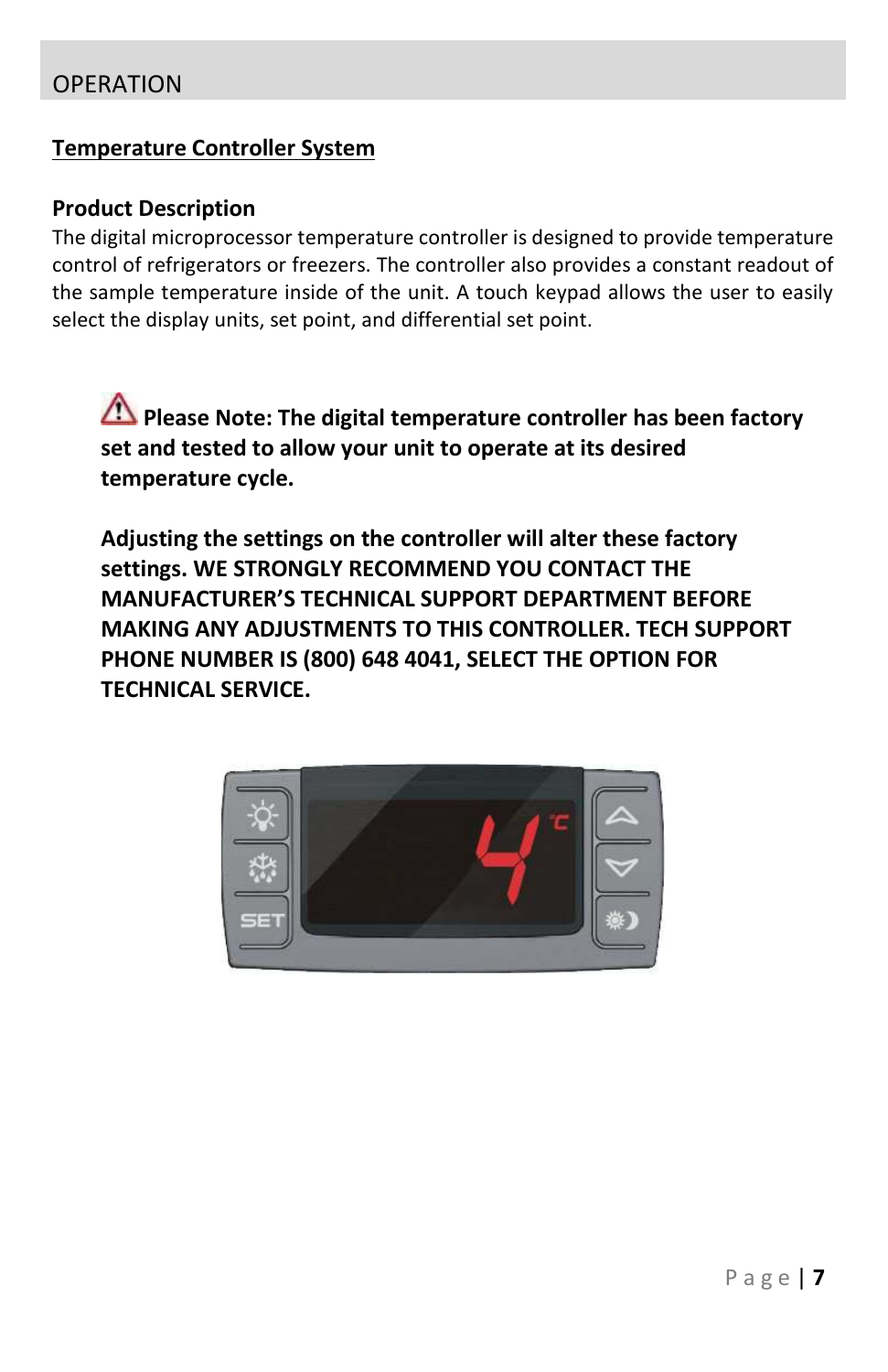#### <span id="page-6-0"></span>**Temperature Controller System**

#### **Product Description**

The digital microprocessor temperature controller is designed to provide temperature control of refrigerators or freezers. The controller also provides a constant readout of the sample temperature inside of the unit. A touch keypad allows the user to easily select the display units, set point, and differential set point.

**Please Note: The digital temperature controller has been factory set and tested to allow your unit to operate at its desired temperature cycle.**

**Adjusting the settings on the controller will alter these factory settings. WE STRONGLY RECOMMEND YOU CONTACT THE MANUFACTURER'S TECHNICAL SUPPORT DEPARTMENT BEFORE MAKING ANY ADJUSTMENTS TO THIS CONTROLLER. TECH SUPPORT PHONE NUMBER IS (800) 648 4041, SELECT THE OPTION FOR TECHNICAL SERVICE.**

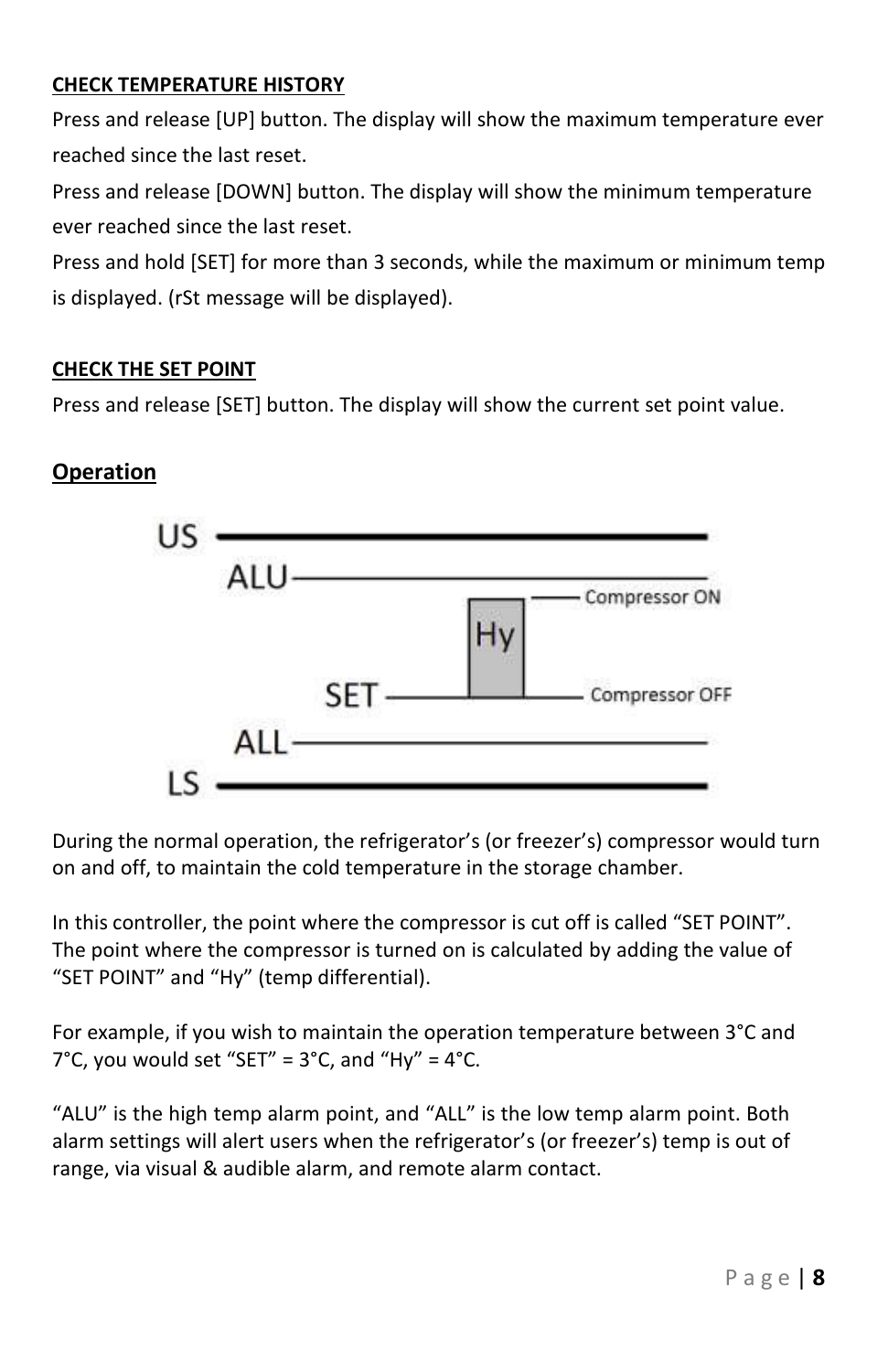#### **CHECK TEMPERATURE HISTORY**

Press and release [UP] button. The display will show the maximum temperature ever reached since the last reset.

Press and release [DOWN] button. The display will show the minimum temperature ever reached since the last reset.

Press and hold [SET] for more than 3 seconds, while the maximum or minimum temp is displayed. (rSt message will be displayed).

#### **CHECK THE SET POINT**

Press and release [SET] button. The display will show the current set point value.

### **Operation**



During the normal operation, the refrigerator's (or freezer's) compressor would turn on and off, to maintain the cold temperature in the storage chamber.

In this controller, the point where the compressor is cut off is called "SET POINT". The point where the compressor is turned on is calculated by adding the value of "SET POINT" and "Hy" (temp differential).

For example, if you wish to maintain the operation temperature between 3°C and  $7^{\circ}$ C, you would set "SET" =  $3^{\circ}$ C, and "Hy" =  $4^{\circ}$ C.

"ALU" is the high temp alarm point, and "ALL" is the low temp alarm point. Both alarm settings will alert users when the refrigerator's (or freezer's) temp is out of range, via visual & audible alarm, and remote alarm contact.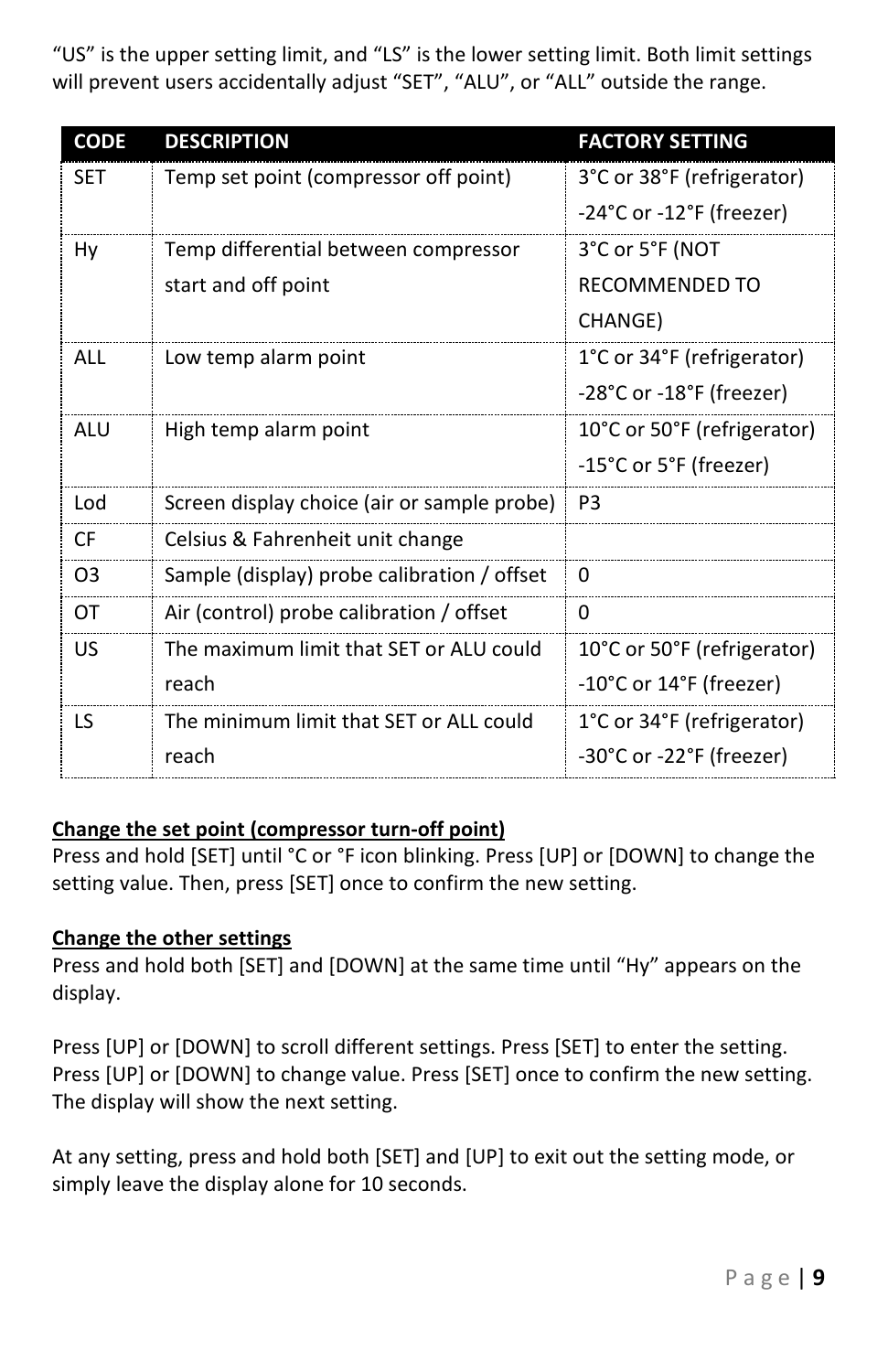"US" is the upper setting limit, and "LS" is the lower setting limit. Both limit settings will prevent users accidentally adjust "SET", "ALU", or "ALL" outside the range.

| <b>CODE</b>    | <b>DESCRIPTION</b>                          | <b>FACTORY SETTING</b>      |
|----------------|---------------------------------------------|-----------------------------|
| <b>SET</b>     | Temp set point (compressor off point)       | 3°C or 38°F (refrigerator)  |
|                |                                             | -24°C or -12°F (freezer)    |
| Hy             | Temp differential between compressor        | 3°C or 5°F (NOT             |
|                | start and off point                         | RECOMMENDED TO              |
|                |                                             | CHANGE)                     |
| ALL            | Low temp alarm point                        | 1°C or 34°F (refrigerator)  |
|                |                                             | -28°C or -18°F (freezer)    |
| ALU            | High temp alarm point                       | 10°C or 50°F (refrigerator) |
|                |                                             | -15°C or 5°F (freezer)      |
| Lod            | Screen display choice (air or sample probe) | P <sub>3</sub>              |
| CF.            | Celsius & Fahrenheit unit change            |                             |
| O <sub>3</sub> | Sample (display) probe calibration / offset | 0                           |
| ОT             | Air (control) probe calibration / offset    | 0                           |
| US             | The maximum limit that SET or ALU could     | 10°C or 50°F (refrigerator) |
|                | reach                                       | -10°C or 14°F (freezer)     |
| ΤS             | The minimum limit that SET or ALL could     | 1°C or 34°F (refrigerator)  |
|                | reach                                       | -30°C or -22°F (freezer)    |

#### **Change the set point (compressor turn-off point)**

Press and hold [SET] until °C or °F icon blinking. Press [UP] or [DOWN] to change the setting value. Then, press [SET] once to confirm the new setting.

#### **Change the other settings**

Press and hold both [SET] and [DOWN] at the same time until "Hy" appears on the display.

Press [UP] or [DOWN] to scroll different settings. Press [SET] to enter the setting. Press [UP] or [DOWN] to change value. Press [SET] once to confirm the new setting. The display will show the next setting.

At any setting, press and hold both [SET] and [UP] to exit out the setting mode, or simply leave the display alone for 10 seconds.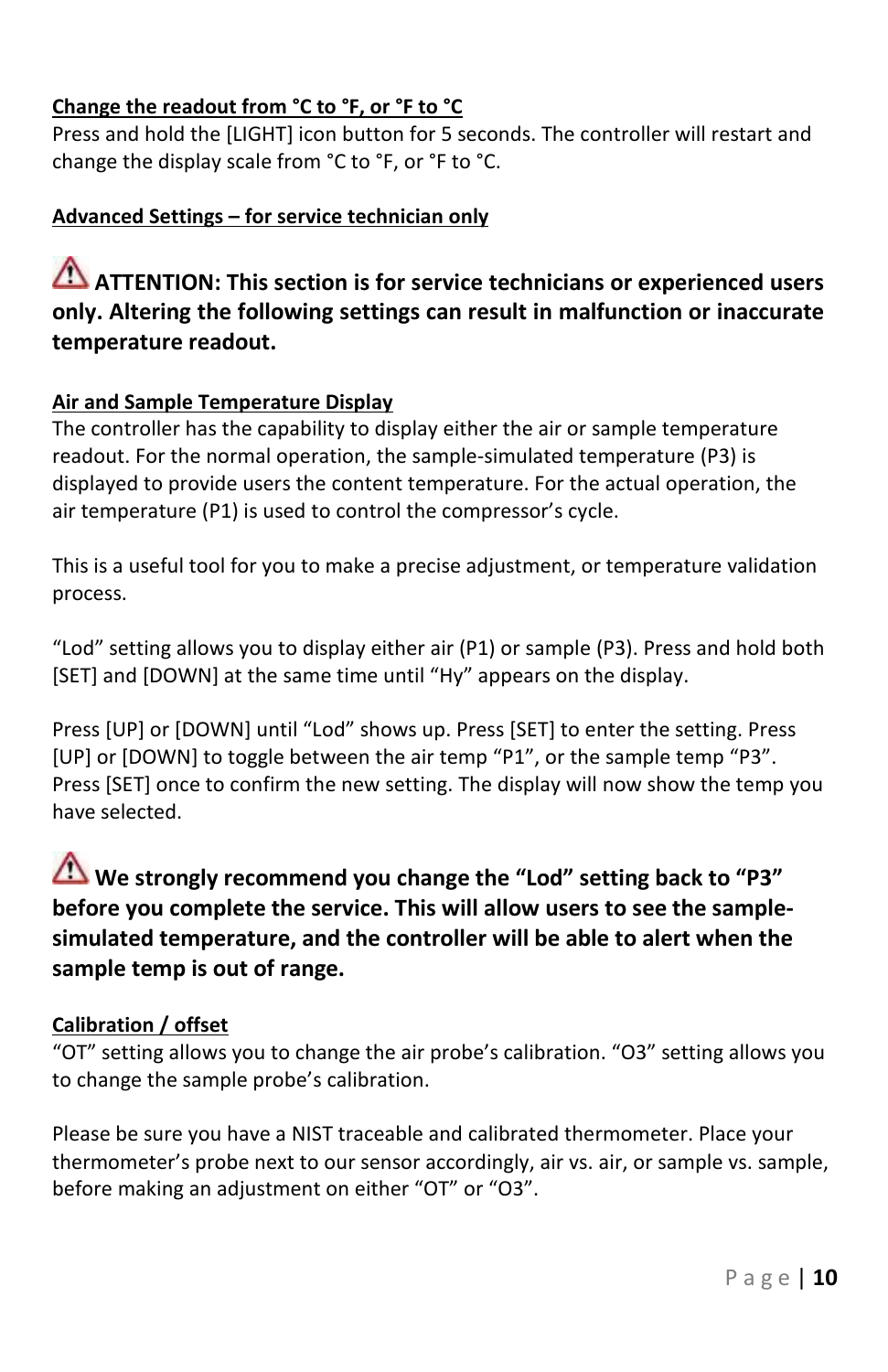### **Change the readout from °C to °F, or °F to °C**

Press and hold the [LIGHT] icon button for 5 seconds. The controller will restart and change the display scale from °C to °F, or °F to °C.

#### **Advanced Settings – for service technician only**

# **ATTENTION: This section is for service technicians or experienced users only. Altering the following settings can result in malfunction or inaccurate temperature readout.**

#### **Air and Sample Temperature Display**

The controller has the capability to display either the air or sample temperature readout. For the normal operation, the sample-simulated temperature (P3) is displayed to provide users the content temperature. For the actual operation, the air temperature (P1) is used to control the compressor's cycle.

This is a useful tool for you to make a precise adjustment, or temperature validation process.

"Lod" setting allows you to display either air (P1) or sample (P3). Press and hold both [SET] and [DOWN] at the same time until "Hy" appears on the display.

Press [UP] or [DOWN] until "Lod" shows up. Press [SET] to enter the setting. Press [UP] or [DOWN] to toggle between the air temp "P1", or the sample temp "P3". Press [SET] once to confirm the new setting. The display will now show the temp you have selected.

# **We strongly recommend you change the "Lod" setting back to "P3" before you complete the service. This will allow users to see the samplesimulated temperature, and the controller will be able to alert when the sample temp is out of range.**

#### **Calibration / offset**

"OT" setting allows you to change the air probe's calibration. "O3" setting allows you to change the sample probe's calibration.

Please be sure you have a NIST traceable and calibrated thermometer. Place your thermometer's probe next to our sensor accordingly, air vs. air, or sample vs. sample, before making an adjustment on either "OT" or "O3".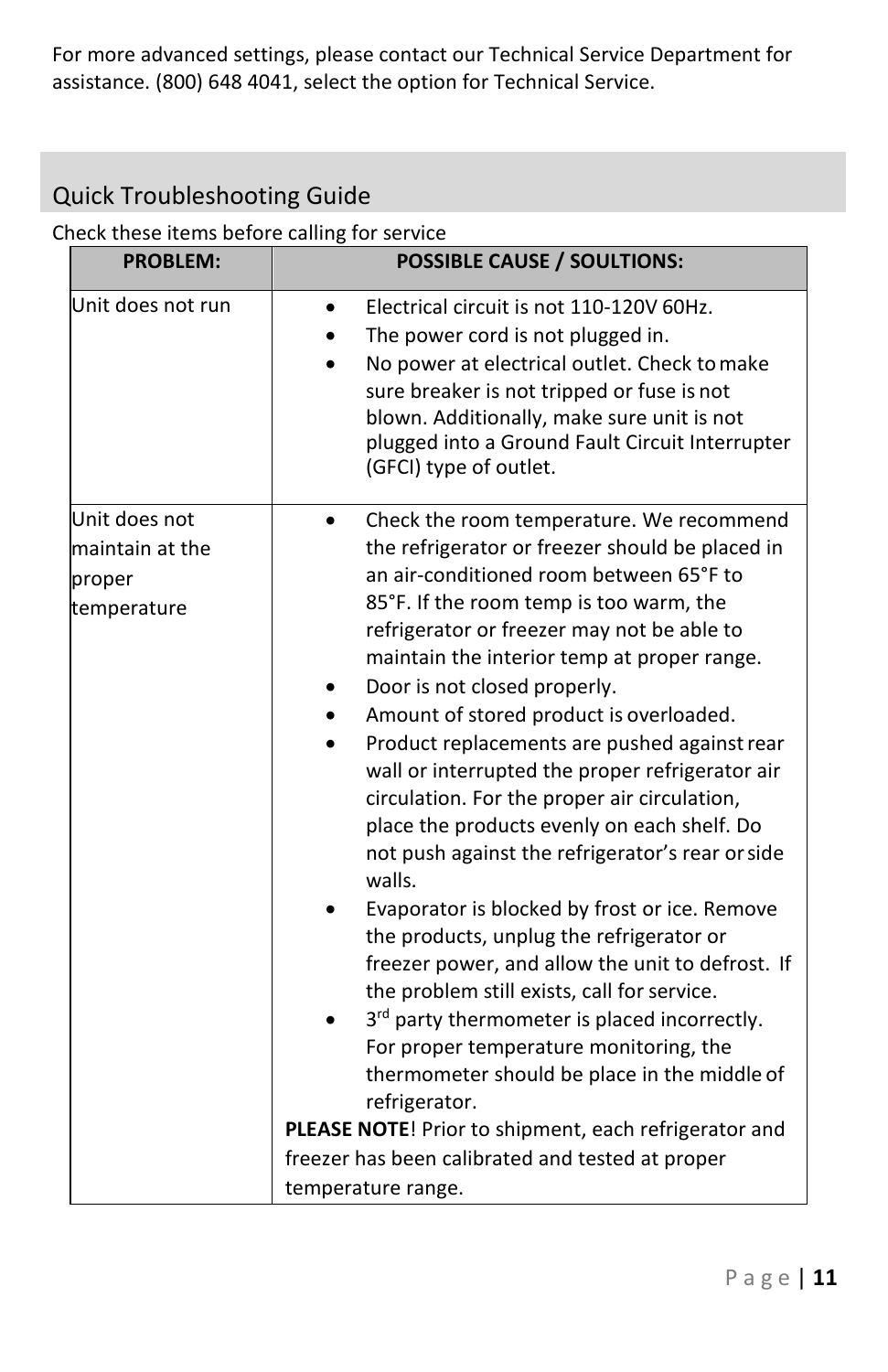For more advanced settings, please contact our Technical Service Department for assistance. (800) 648 4041, select the option for Technical Service.

# <span id="page-10-0"></span>Quick Troubleshooting Guide

#### Check these items before calling for service

| <b>PROBLEM:</b>                                           | <b>POSSIBLE CAUSE / SOULTIONS:</b>                                                                                                                                                                                                                                                                                                                                                                                                                                                                                                                                                                                                                                                                                                                                                                                                                                                                                                                                                                                                                                                                |  |
|-----------------------------------------------------------|---------------------------------------------------------------------------------------------------------------------------------------------------------------------------------------------------------------------------------------------------------------------------------------------------------------------------------------------------------------------------------------------------------------------------------------------------------------------------------------------------------------------------------------------------------------------------------------------------------------------------------------------------------------------------------------------------------------------------------------------------------------------------------------------------------------------------------------------------------------------------------------------------------------------------------------------------------------------------------------------------------------------------------------------------------------------------------------------------|--|
| Unit does not run                                         | Electrical circuit is not 110-120V 60Hz.<br>The power cord is not plugged in.<br>No power at electrical outlet. Check to make<br>sure breaker is not tripped or fuse is not<br>blown. Additionally, make sure unit is not<br>plugged into a Ground Fault Circuit Interrupter<br>(GFCI) type of outlet.                                                                                                                                                                                                                                                                                                                                                                                                                                                                                                                                                                                                                                                                                                                                                                                            |  |
| Unit does not<br>maintain at the<br>proper<br>temperature | Check the room temperature. We recommend<br>the refrigerator or freezer should be placed in<br>an air-conditioned room between 65°F to<br>85°F. If the room temp is too warm, the<br>refrigerator or freezer may not be able to<br>maintain the interior temp at proper range.<br>Door is not closed properly.<br>Amount of stored product is overloaded.<br>Product replacements are pushed against rear<br>wall or interrupted the proper refrigerator air<br>circulation. For the proper air circulation,<br>place the products evenly on each shelf. Do<br>not push against the refrigerator's rear or side<br>walls.<br>Evaporator is blocked by frost or ice. Remove<br>the products, unplug the refrigerator or<br>freezer power, and allow the unit to defrost. If<br>the problem still exists, call for service.<br>3rd party thermometer is placed incorrectly.<br>For proper temperature monitoring, the<br>thermometer should be place in the middle of<br>refrigerator.<br>PLEASE NOTE! Prior to shipment, each refrigerator and<br>freezer has been calibrated and tested at proper |  |
|                                                           | temperature range.                                                                                                                                                                                                                                                                                                                                                                                                                                                                                                                                                                                                                                                                                                                                                                                                                                                                                                                                                                                                                                                                                |  |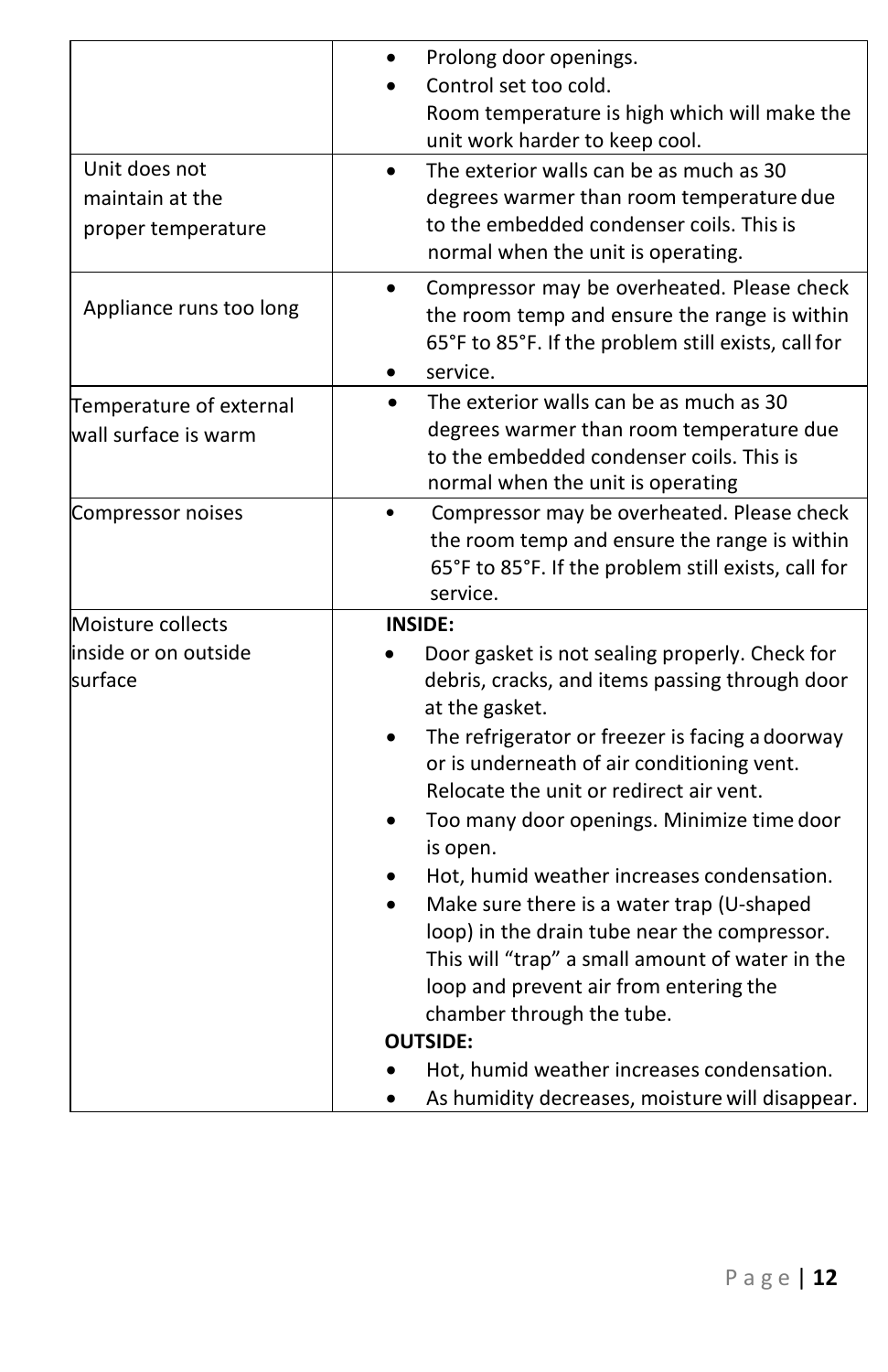|                                                        | Prolong door openings.<br>Control set too cold.<br>Room temperature is high which will make the<br>unit work harder to keep cool.                                                                                                                                                                                                                                                                                                                                                                                                                                                                                                                                                |
|--------------------------------------------------------|----------------------------------------------------------------------------------------------------------------------------------------------------------------------------------------------------------------------------------------------------------------------------------------------------------------------------------------------------------------------------------------------------------------------------------------------------------------------------------------------------------------------------------------------------------------------------------------------------------------------------------------------------------------------------------|
| Unit does not<br>maintain at the<br>proper temperature | The exterior walls can be as much as 30<br>degrees warmer than room temperature due<br>to the embedded condenser coils. This is<br>normal when the unit is operating.                                                                                                                                                                                                                                                                                                                                                                                                                                                                                                            |
| Appliance runs too long                                | Compressor may be overheated. Please check<br>$\bullet$<br>the room temp and ensure the range is within<br>65°F to 85°F. If the problem still exists, call for<br>service.<br>$\bullet$                                                                                                                                                                                                                                                                                                                                                                                                                                                                                          |
| Temperature of external<br>wall surface is warm        | The exterior walls can be as much as 30<br>degrees warmer than room temperature due<br>to the embedded condenser coils. This is<br>normal when the unit is operating                                                                                                                                                                                                                                                                                                                                                                                                                                                                                                             |
| Compressor noises                                      | Compressor may be overheated. Please check<br>the room temp and ensure the range is within<br>65°F to 85°F. If the problem still exists, call for<br>service.                                                                                                                                                                                                                                                                                                                                                                                                                                                                                                                    |
| Moisture collects<br>inside or on outside<br>surface   | <b>INSIDE:</b><br>Door gasket is not sealing properly. Check for<br>debris, cracks, and items passing through door<br>at the gasket.<br>The refrigerator or freezer is facing a doorway<br>or is underneath of air conditioning vent.<br>Relocate the unit or redirect air vent.<br>Too many door openings. Minimize time door<br>is open.<br>Hot, humid weather increases condensation.<br>Make sure there is a water trap (U-shaped<br>loop) in the drain tube near the compressor.<br>This will "trap" a small amount of water in the<br>loop and prevent air from entering the<br>chamber through the tube.<br><b>OUTSIDE:</b><br>Hot, humid weather increases condensation. |
|                                                        | As humidity decreases, moisture will disappear.                                                                                                                                                                                                                                                                                                                                                                                                                                                                                                                                                                                                                                  |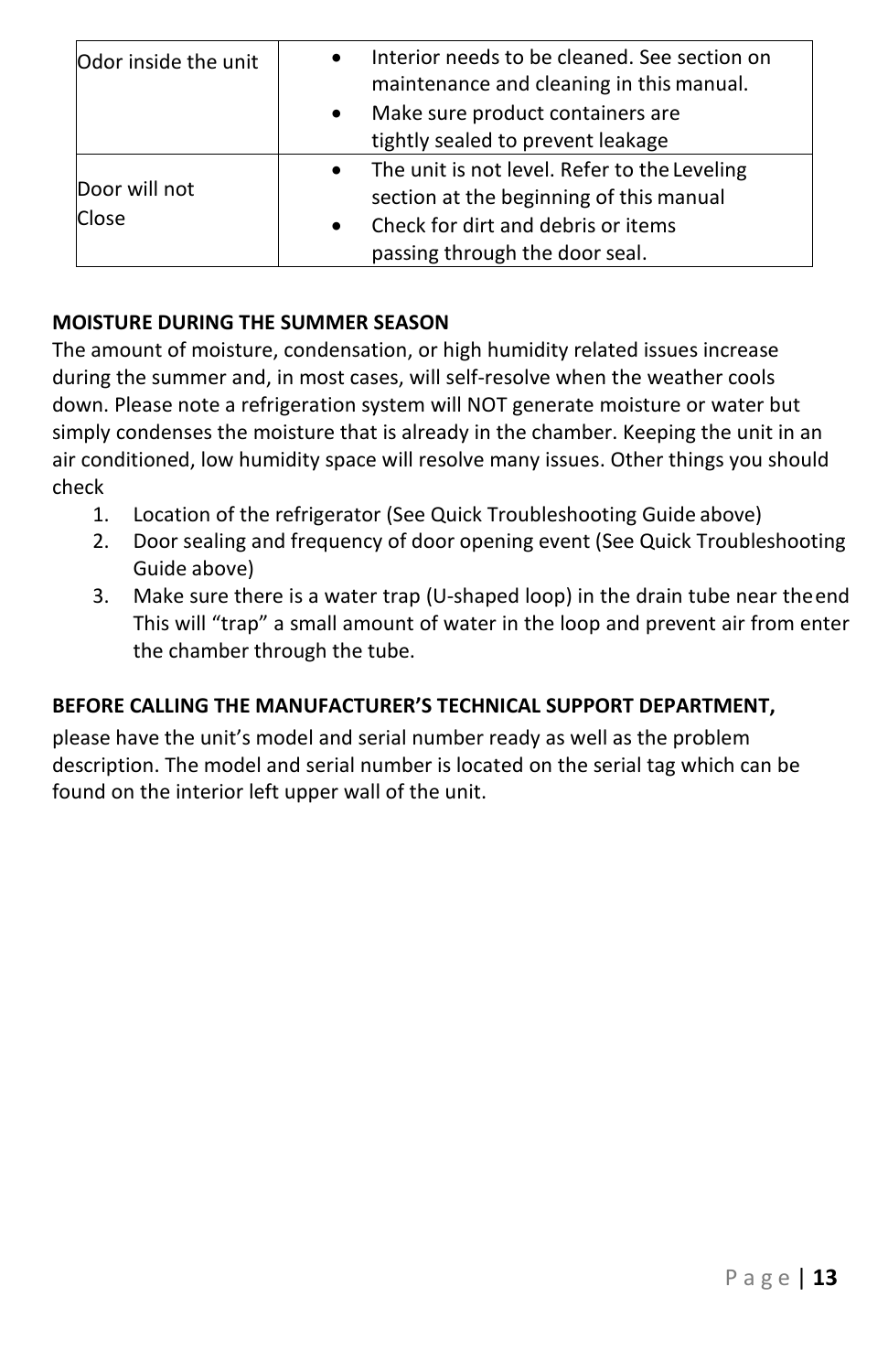| Odor inside the unit   | Interior needs to be cleaned. See section on<br>maintenance and cleaning in this manual.                                                                                                  |
|------------------------|-------------------------------------------------------------------------------------------------------------------------------------------------------------------------------------------|
|                        | Make sure product containers are<br>$\bullet$<br>tightly sealed to prevent leakage                                                                                                        |
| Door will not<br>Close | The unit is not level. Refer to the Leveling<br>$\bullet$<br>section at the beginning of this manual<br>Check for dirt and debris or items<br>$\bullet$<br>passing through the door seal. |

#### **MOISTURE DURING THE SUMMER SEASON**

The amount of moisture, condensation, or high humidity related issues increase during the summer and, in most cases, will self-resolve when the weather cools down. Please note a refrigeration system will NOT generate moisture or water but simply condenses the moisture that is already in the chamber. Keeping the unit in an air conditioned, low humidity space will resolve many issues. Other things you should check

- 1. Location of the refrigerator (See Quick Troubleshooting Guide above)
- 2. Door sealing and frequency of door opening event (See Quick Troubleshooting Guide above)
- 3. Make sure there is a water trap (U-shaped loop) in the drain tube near theend This will "trap" a small amount of water in the loop and prevent air from enter the chamber through the tube.

#### **BEFORE CALLING THE MANUFACTURER'S TECHNICAL SUPPORT DEPARTMENT,**

please have the unit's model and serial number ready as well as the problem description. The model and serial number is located on the serial tag which can be found on the interior left upper wall of the unit.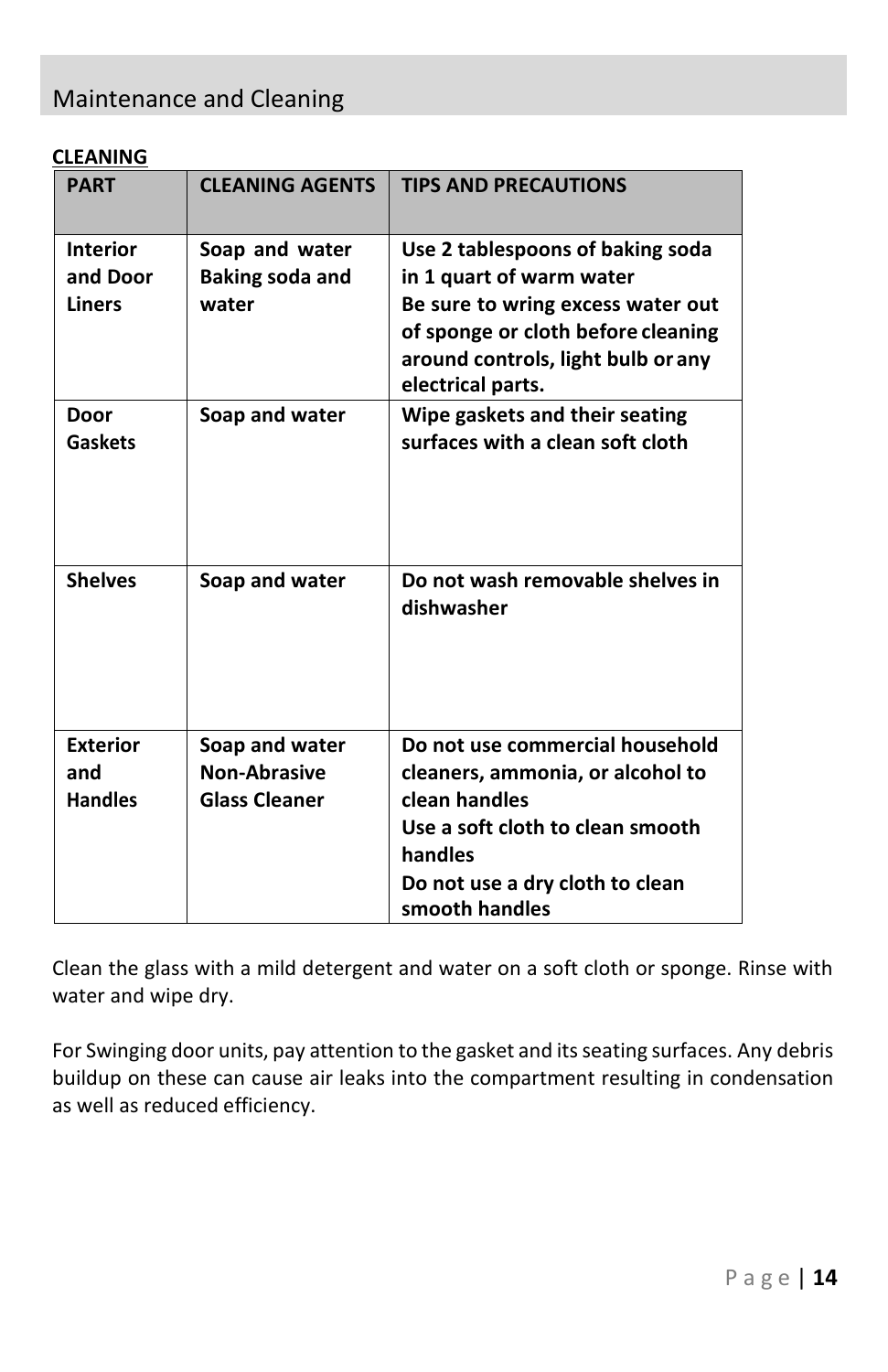# <span id="page-13-0"></span>Maintenance and Cleaning

#### **CLEANING**

| <b>PART</b>                                  | <b>CLEANING AGENTS</b>                                        | <b>TIPS AND PRECAUTIONS</b>                                                                                                                                                                        |
|----------------------------------------------|---------------------------------------------------------------|----------------------------------------------------------------------------------------------------------------------------------------------------------------------------------------------------|
| <b>Interior</b><br>and Door<br><b>Liners</b> | Soap and water<br><b>Baking soda and</b><br>water             | Use 2 tablespoons of baking soda<br>in 1 quart of warm water<br>Be sure to wring excess water out<br>of sponge or cloth before cleaning<br>around controls, light bulb or any<br>electrical parts. |
| Door<br>Gaskets                              | Soap and water                                                | Wipe gaskets and their seating<br>surfaces with a clean soft cloth                                                                                                                                 |
| <b>Shelves</b>                               | Soap and water                                                | Do not wash removable shelves in<br>dishwasher                                                                                                                                                     |
| <b>Exterior</b><br>and<br><b>Handles</b>     | Soap and water<br><b>Non-Abrasive</b><br><b>Glass Cleaner</b> | Do not use commercial household<br>cleaners, ammonia, or alcohol to<br>clean handles<br>Use a soft cloth to clean smooth<br>handles<br>Do not use a dry cloth to clean<br>smooth handles           |

Clean the glass with a mild detergent and water on a soft cloth or sponge. Rinse with water and wipe dry.

For Swinging door units, pay attention to the gasket and its seating surfaces. Any debris buildup on these can cause air leaks into the compartment resulting in condensation as well as reduced efficiency.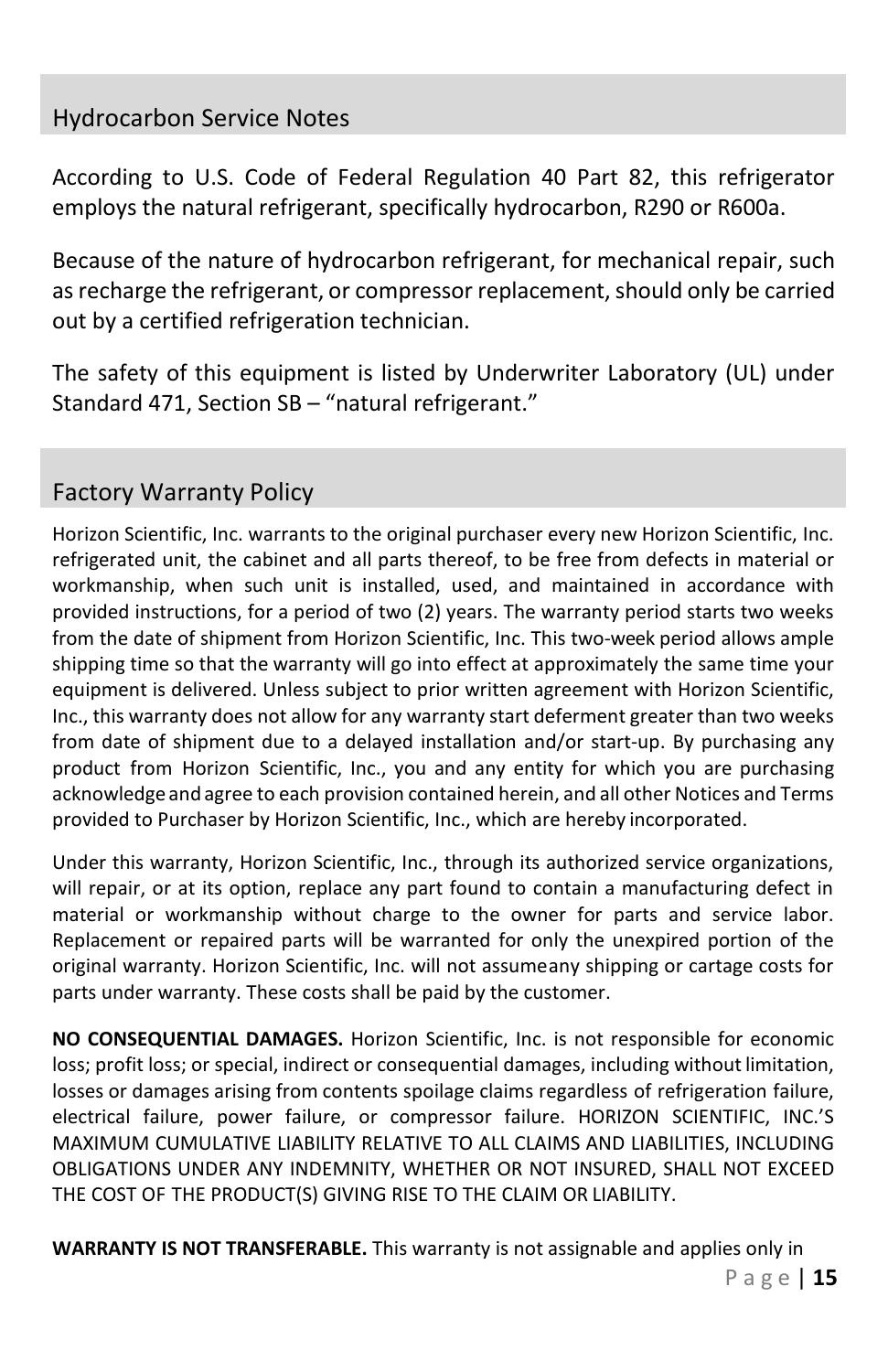# <span id="page-14-0"></span>Hydrocarbon Service Notes

According to U.S. Code of Federal Regulation 40 Part 82, this refrigerator employs the natural refrigerant, specifically hydrocarbon, R290 or R600a.

Because of the nature of hydrocarbon refrigerant, for mechanical repair, such as recharge the refrigerant, or compressor replacement, should only be carried out by a certified refrigeration technician.

The safety of this equipment is listed by Underwriter Laboratory (UL) under Standard 471, Section SB – "natural refrigerant."

# <span id="page-14-1"></span>Factory Warranty Policy

Horizon Scientific, Inc. warrants to the original purchaser every new Horizon Scientific, Inc. refrigerated unit, the cabinet and all parts thereof, to be free from defects in material or workmanship, when such unit is installed, used, and maintained in accordance with provided instructions, for a period of two (2) years. The warranty period starts two weeks from the date of shipment from Horizon Scientific, Inc. This two-week period allows ample shipping time so that the warranty will go into effect at approximately the same time your equipment is delivered. Unless subject to prior written agreement with Horizon Scientific, Inc., this warranty does not allow for any warranty start deferment greater than two weeks from date of shipment due to a delayed installation and/or start-up. By purchasing any product from Horizon Scientific, Inc., you and any entity for which you are purchasing acknowledge and agree to each provision contained herein, and all other Notices and Terms provided to Purchaser by Horizon Scientific, Inc., which are hereby incorporated.

Under this warranty, Horizon Scientific, Inc., through its authorized service organizations, will repair, or at its option, replace any part found to contain a manufacturing defect in material or workmanship without charge to the owner for parts and service labor. Replacement or repaired parts will be warranted for only the unexpired portion of the original warranty. Horizon Scientific, Inc. will not assumeany shipping or cartage costs for parts under warranty. These costs shall be paid by the customer.

**NO CONSEQUENTIAL DAMAGES.** Horizon Scientific, Inc. is not responsible for economic loss; profit loss; or special, indirect or consequential damages, including without limitation, losses or damages arising from contents spoilage claims regardless of refrigeration failure, electrical failure, power failure, or compressor failure. HORIZON SCIENTIFIC, INC.'S MAXIMUM CUMULATIVE LIABILITY RELATIVE TO ALL CLAIMS AND LIABILITIES, INCLUDING OBLIGATIONS UNDER ANY INDEMNITY, WHETHER OR NOT INSURED, SHALL NOT EXCEED THE COST OF THE PRODUCT(S) GIVING RISE TO THE CLAIM OR LIABILITY.

**WARRANTY IS NOT TRANSFERABLE.** This warranty is not assignable and applies only in